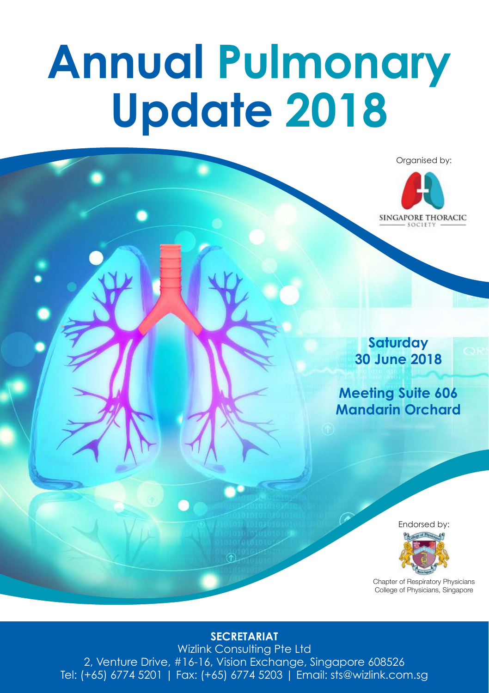# **Annual Pulmonary Update 2018**



#### **SECRETARIAT**

Wizlink Consulting Pte Ltd 2, Venture Drive, #16-16, Vision Exchange, Singapore 608526 Tel: (+65) 6774 5201 | Fax: (+65) 6774 5203 | Email: sts@wizlink.com.sg